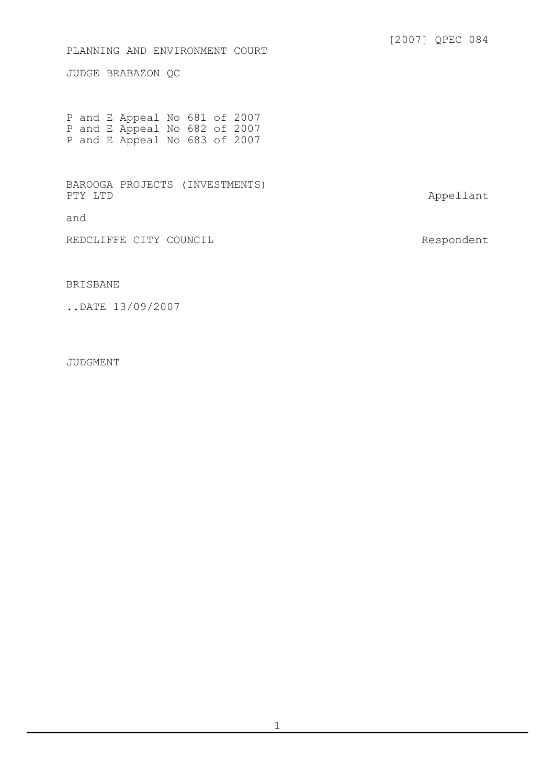## PLANNING AND ENVIRONMENT COURT

JUDGE BRABAZON QC

P and E Appeal No 681 of 2007 P and E Appeal No 682 of 2007 P and E Appeal No 683 of 2007

BAROOGA PROJECTS (INVESTMENTS)

and

REDCLIFFE CITY COUNCIL and the control of the Respondent

Appellant

## BRISBANE

..DATE 13/09/2007

JUDGMENT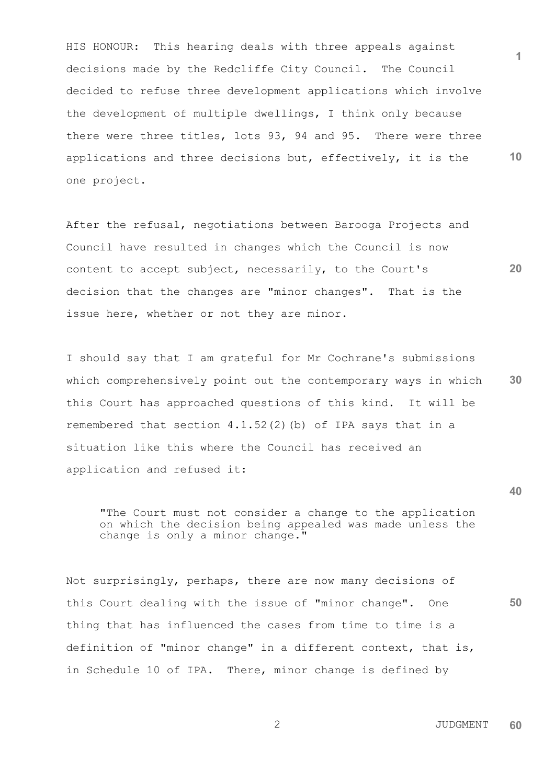**1 10** HIS HONOUR: This hearing deals with three appeals against decisions made by the Redcliffe City Council. The Council decided to refuse three development applications which involve the development of multiple dwellings, I think only because there were three titles, lots 93, 94 and 95. There were three applications and three decisions but, effectively, it is the one project.

After the refusal, negotiations between Barooga Projects and Council have resulted in changes which the Council is now content to accept subject, necessarily, to the Court's decision that the changes are "minor changes". That is the issue here, whether or not they are minor.

**30** I should say that I am grateful for Mr Cochrane's submissions which comprehensively point out the contemporary ways in which this Court has approached questions of this kind. It will be remembered that section  $4.1.52(2)$  (b) of IPA says that in a situation like this where the Council has received an application and refused it:

"The Court must not consider a change to the application on which the decision being appealed was made unless the change is only a minor change."

Not surprisingly, perhaps, there are now many decisions of this Court dealing with the issue of "minor change". One thing that has influenced the cases from time to time is a definition of "minor change" in a different context, that is, in Schedule 10 of IPA. There, minor change is defined by

 2 JUDGMENT **60**

**20**

**40**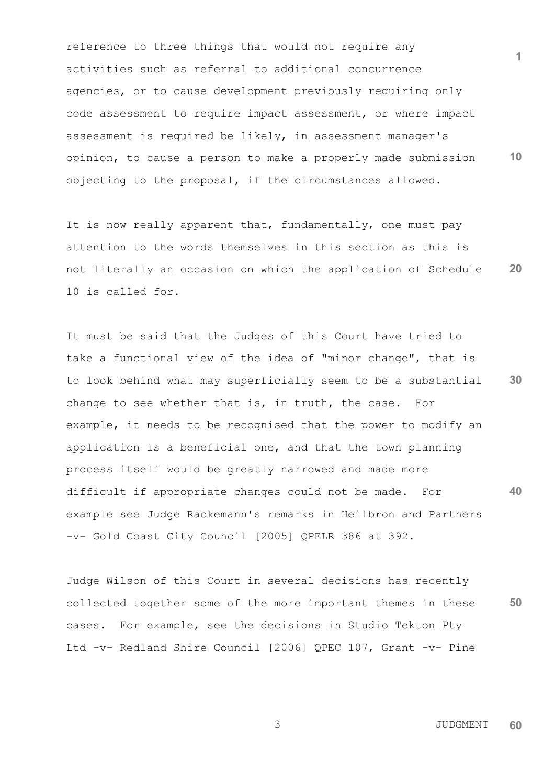**1 10** reference to three things that would not require any activities such as referral to additional concurrence agencies, or to cause development previously requiring only code assessment to require impact assessment, or where impact assessment is required be likely, in assessment manager's opinion, to cause a person to make a properly made submission objecting to the proposal, if the circumstances allowed.

**20** It is now really apparent that, fundamentally, one must pay attention to the words themselves in this section as this is not literally an occasion on which the application of Schedule 10 is called for.

**30 40** It must be said that the Judges of this Court have tried to take a functional view of the idea of "minor change", that is to look behind what may superficially seem to be a substantial change to see whether that is, in truth, the case. For example, it needs to be recognised that the power to modify an application is a beneficial one, and that the town planning process itself would be greatly narrowed and made more difficult if appropriate changes could not be made. For example see Judge Rackemann's remarks in Heilbron and Partners -v- Gold Coast City Council [2005] QPELR 386 at 392.

**50** Judge Wilson of this Court in several decisions has recently collected together some of the more important themes in these cases. For example, see the decisions in Studio Tekton Pty Ltd -v- Redland Shire Council [2006] QPEC 107, Grant -v- Pine

 3 JUDGMENT **60**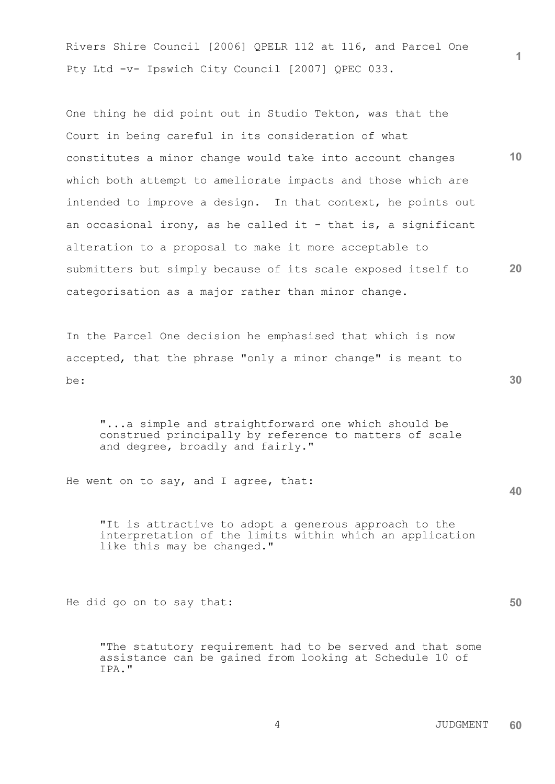Rivers Shire Council [2006] QPELR 112 at 116, and Parcel One Pty Ltd -v- Ipswich City Council [2007] QPEC 033.

**10 20** One thing he did point out in Studio Tekton, was that the Court in being careful in its consideration of what constitutes a minor change would take into account changes which both attempt to ameliorate impacts and those which are intended to improve a design. In that context, he points out an occasional irony, as he called it - that is, a significant alteration to a proposal to make it more acceptable to submitters but simply because of its scale exposed itself to categorisation as a major rather than minor change.

In the Parcel One decision he emphasised that which is now accepted, that the phrase "only a minor change" is meant to be:

"...a simple and straightforward one which should be construed principally by reference to matters of scale and degree, broadly and fairly."

He went on to say, and I agree, that:

"It is attractive to adopt a generous approach to the interpretation of the limits within which an application like this may be changed."

He did go on to say that:

"The statutory requirement had to be served and that some assistance can be gained from looking at Schedule 10 of IPA."

**30**

**40**

**50**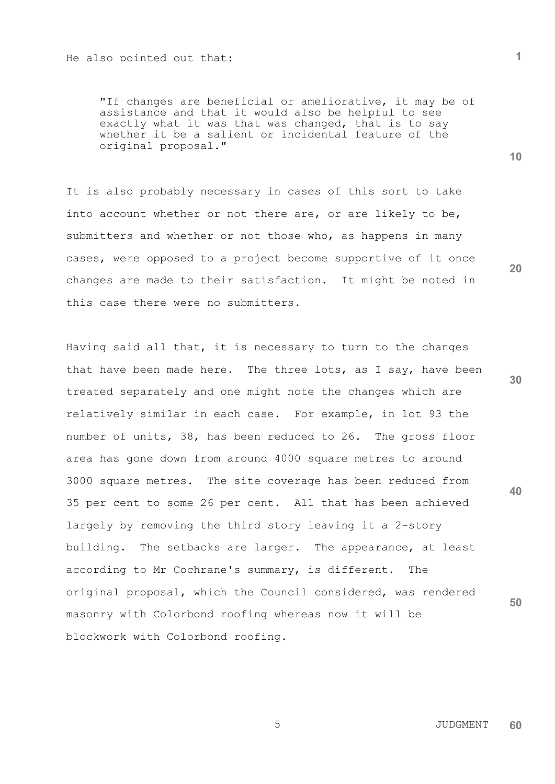"If changes are beneficial or ameliorative, it may be of assistance and that it would also be helpful to see exactly what it was that was changed, that is to say whether it be a salient or incidental feature of the original proposal."

It is also probably necessary in cases of this sort to take into account whether or not there are, or are likely to be, submitters and whether or not those who, as happens in many cases, were opposed to a project become supportive of it once changes are made to their satisfaction. It might be noted in this case there were no submitters.

**30 40 50** Having said all that, it is necessary to turn to the changes that have been made here. The three lots, as I say, have been treated separately and one might note the changes which are relatively similar in each case. For example, in lot 93 the number of units, 38, has been reduced to 26. The gross floor area has gone down from around 4000 square metres to around 3000 square metres. The site coverage has been reduced from 35 per cent to some 26 per cent. All that has been achieved largely by removing the third story leaving it a 2-story building. The setbacks are larger. The appearance, at least according to Mr Cochrane's summary, is different. The original proposal, which the Council considered, was rendered masonry with Colorbond roofing whereas now it will be blockwork with Colorbond roofing.

**10**

**20**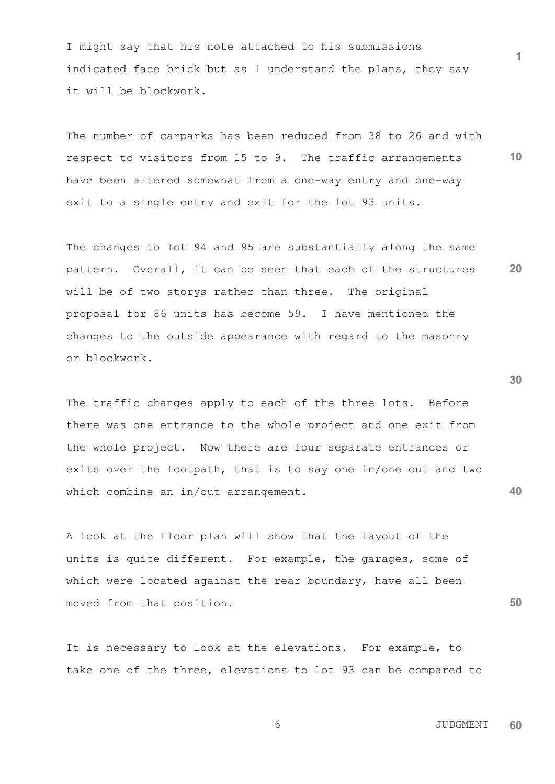I might say that his note attached to his submissions indicated face brick but as I understand the plans, they say it will be blockwork.

**10** The number of carparks has been reduced from 38 to 26 and with respect to visitors from 15 to 9. The traffic arrangements have been altered somewhat from a one-way entry and one-way exit to a single entry and exit for the lot 93 units.

**20** The changes to lot 94 and 95 are substantially along the same pattern. Overall, it can be seen that each of the structures will be of two storys rather than three. The original proposal for 86 units has become 59. I have mentioned the changes to the outside appearance with regard to the masonry or blockwork.

The traffic changes apply to each of the three lots. Before there was one entrance to the whole project and one exit from the whole project. Now there are four separate entrances or exits over the footpath, that is to say one in/one out and two which combine an in/out arrangement.

A look at the floor plan will show that the layout of the units is quite different. For example, the garages, some of which were located against the rear boundary, have all been moved from that position.

It is necessary to look at the elevations. For example, to take one of the three, elevations to lot 93 can be compared to **30**

**40**

**50**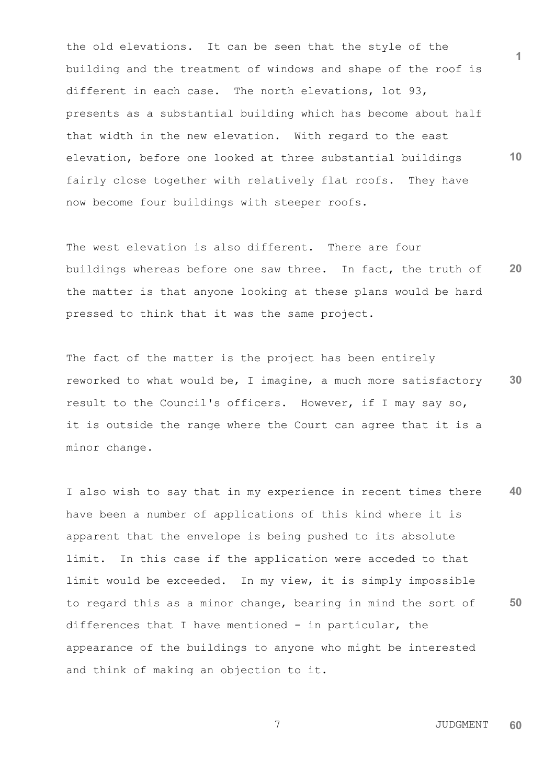**10** the old elevations. It can be seen that the style of the building and the treatment of windows and shape of the roof is different in each case. The north elevations, lot 93, presents as a substantial building which has become about half that width in the new elevation. With regard to the east elevation, before one looked at three substantial buildings fairly close together with relatively flat roofs. They have now become four buildings with steeper roofs.

**20** The west elevation is also different. There are four buildings whereas before one saw three. In fact, the truth of the matter is that anyone looking at these plans would be hard pressed to think that it was the same project.

**30** The fact of the matter is the project has been entirely reworked to what would be, I imagine, a much more satisfactory result to the Council's officers. However, if I may say so, it is outside the range where the Court can agree that it is a minor change.

**40 50** I also wish to say that in my experience in recent times there have been a number of applications of this kind where it is apparent that the envelope is being pushed to its absolute limit. In this case if the application were acceded to that limit would be exceeded. In my view, it is simply impossible to regard this as a minor change, bearing in mind the sort of differences that I have mentioned - in particular, the appearance of the buildings to anyone who might be interested and think of making an objection to it.

 7 JUDGMENT **60**